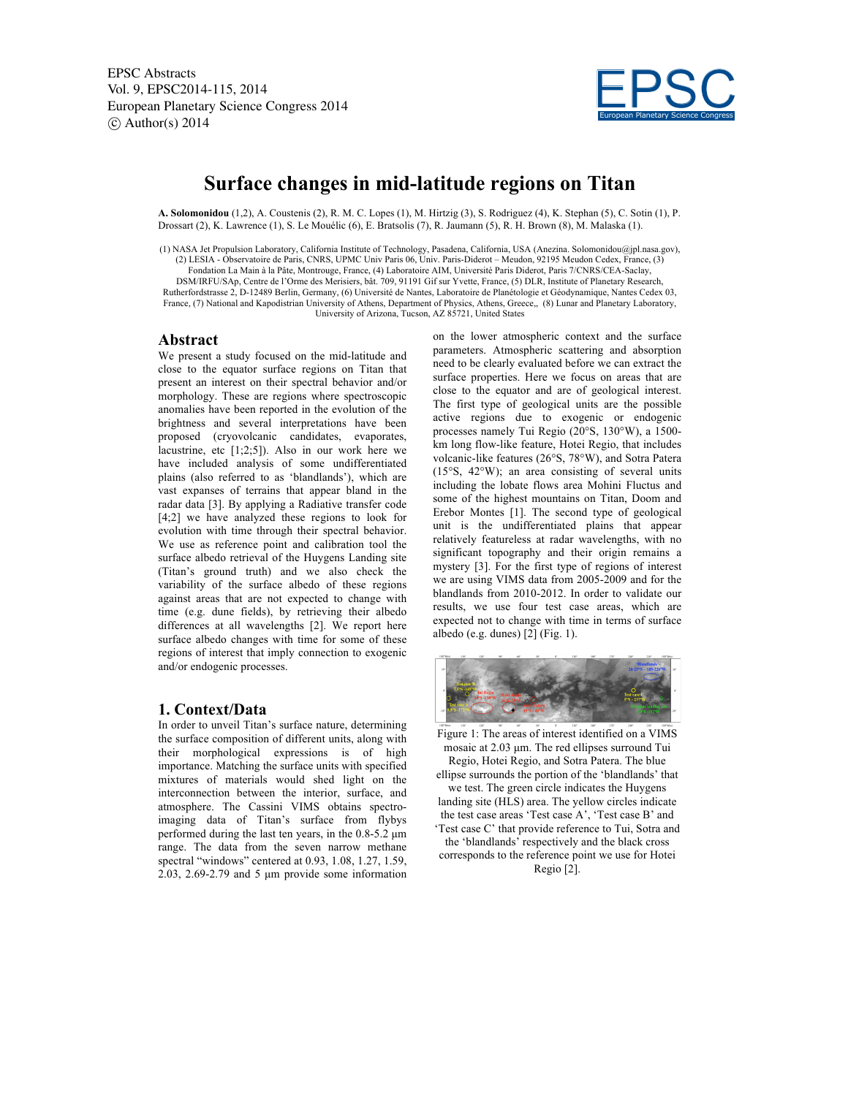EPSC Abstracts Vol. 9, EPSC2014-115, 2014 European Planetary Science Congress 2014  $\circ$  Author(s) 2014



# **Surface changes in mid-latitude regions on Titan**

**A. Solomonidou** (1,2), A. Coustenis (2), R. M. C. Lopes (1), M. Hirtzig (3), S. Rodriguez (4), K. Stephan (5), C. Sotin (1), P. Drossart (2), K. Lawrence (1), S. Le Mouélic (6), E. Bratsolis (7), R. Jaumann (5), R. H. Brown (8), M. Malaska (1).

(1) NASA Jet Propulsion Laboratory, California Institute of Technology, Pasadena, California, USA (Anezina. Solomonidou@jpl.nasa.gov), (2) LESIA - Observatoire de Paris, CNRS, UPMC Univ Paris 06, Univ. Paris-Diderot – Meudon, 92195 Meudon Cedex, France, (3) Fondation La Main à la Pâte, Montrouge, France, (4) Laboratoire AIM, Université Paris Diderot, Paris 7/CNRS/CEA-Saclay, DSM/IRFU/SAp, Centre de l'Orme des Merisiers, bât. 709, 91191 Gif sur Yvette, France, (5) DLR, Institute of Planetary Research, Rutherfordstrasse 2, D-12489 Berlin, Germany, (6) Université de Nantes, Laboratoire de Planétologie et Géodynamique, Nantes Cedex 03, France, (7) National and Kapodistrian University of Athens, Department of Physics, Athens, Greece,, (8) Lunar and Planetary Laboratory, University of Arizona, Tucson, AZ 85721, United States

### **Abstract**

We present a study focused on the mid-latitude and close to the equator surface regions on Titan that present an interest on their spectral behavior and/or morphology. These are regions where spectroscopic anomalies have been reported in the evolution of the brightness and several interpretations have been proposed (cryovolcanic candidates, evaporates, lacustrine, etc [1;2;5]). Also in our work here we have included analysis of some undifferentiated plains (also referred to as 'blandlands'), which are vast expanses of terrains that appear bland in the radar data [3]. By applying a Radiative transfer code [4;2] we have analyzed these regions to look for evolution with time through their spectral behavior. We use as reference point and calibration tool the surface albedo retrieval of the Huygens Landing site (Titan's ground truth) and we also check the variability of the surface albedo of these regions against areas that are not expected to change with time (e.g. dune fields), by retrieving their albedo differences at all wavelengths [2]. We report here surface albedo changes with time for some of these regions of interest that imply connection to exogenic and/or endogenic processes.

### **1. Context/Data**

In order to unveil Titan's surface nature, determining the surface composition of different units, along with their morphological expressions is of high importance. Matching the surface units with specified mixtures of materials would shed light on the interconnection between the interior, surface, and atmosphere. The Cassini VIMS obtains spectroimaging data of Titan's surface from flybys performed during the last ten years, in the  $0.8-5.2 \mu m$ range. The data from the seven narrow methane spectral "windows" centered at 0.93, 1.08, 1.27, 1.59, 2.03, 2.69-2.79 and 5 µm provide some information

on the lower atmospheric context and the surface parameters. Atmospheric scattering and absorption need to be clearly evaluated before we can extract the surface properties. Here we focus on areas that are close to the equator and are of geological interest. The first type of geological units are the possible active regions due to exogenic or endogenic processes namely Tui Regio (20°S, 130°W), a 1500 km long flow-like feature, Hotei Regio, that includes volcanic-like features (26°S, 78°W), and Sotra Patera (15°S, 42°W); an area consisting of several units including the lobate flows area Mohini Fluctus and some of the highest mountains on Titan, Doom and Erebor Montes [1]. The second type of geological unit is the undifferentiated plains that appear relatively featureless at radar wavelengths, with no significant topography and their origin remains a mystery [3]. For the first type of regions of interest we are using VIMS data from 2005-2009 and for the blandlands from 2010-2012. In order to validate our results, we use four test case areas, which are expected not to change with time in terms of surface albedo (e.g. dunes) [2] (Fig. 1).



Figure 1: The areas of interest identified on a VIMS mosaic at 2.03 µm. The red ellipses surround Tui Regio, Hotei Regio, and Sotra Patera. The blue ellipse surrounds the portion of the 'blandlands' that we test. The green circle indicates the Huygens landing site (HLS) area. The yellow circles indicate the test case areas 'Test case A', 'Test case B' and 'Test case C' that provide reference to Tui, Sotra and the 'blandlands' respectively and the black cross corresponds to the reference point we use for Hotei Regio [2].